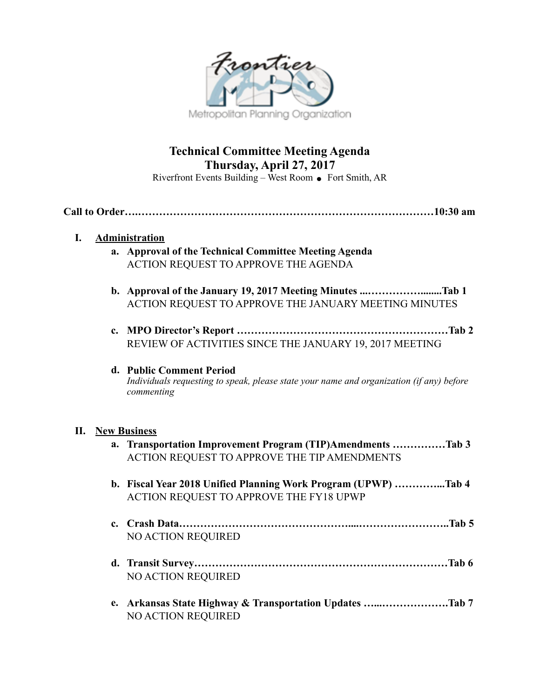

# **Technical Committee Meeting Agenda Thursday, April 27, 2017**

Riverfront Events Building – West Room  $\bullet$  Fort Smith, AR

**Call to Order….…………………………………………………………………………10:30 am** 

# **I. Administration**

- **a. Approval of the Technical Committee Meeting Agenda**  ACTION REQUEST TO APPROVE THE AGENDA
- **b. Approval of the January 19, 2017 Meeting Minutes ...……………........Tab 1**  ACTION REQUEST TO APPROVE THE JANUARY MEETING MINUTES
- **c. MPO Director's Report ……………………………………………………Tab 2**  REVIEW OF ACTIVITIES SINCE THE JANUARY 19, 2017 MEETING

#### **d. Public Comment Period**  *Individuals requesting to speak, please state your name and organization (if any) before commenting*

### **II. New Business**

| a. Transportation Improvement Program (TIP)Amendments Tab 3<br>ACTION REQUEST TO APPROVE THE TIP AMENDMENTS |
|-------------------------------------------------------------------------------------------------------------|
| b. Fiscal Year 2018 Unified Planning Work Program (UPWP) Tab 4<br>ACTION REQUEST TO APPROVE THE FY18 UPWP   |
| <b>NO ACTION REQUIRED</b>                                                                                   |
| <b>NO ACTION REQUIRED</b>                                                                                   |
| e. Arkansas State Highway & Transportation Updates Tab 7<br><b>NO ACTION REQUIRED</b>                       |